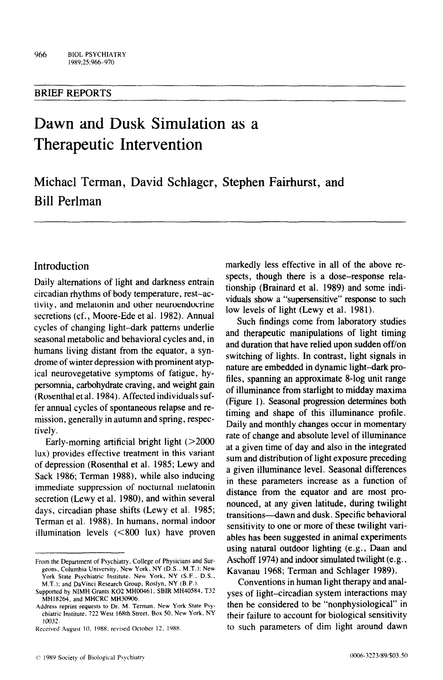#### BRIEF REPORTS

# Dawn and Dusk Simulation as a Therapeutic Intervention

Michael Terman, David Schlager, Stephen Fairhurst, and Bill Perlman

## Introduction

Daily alternations of light and darkness entrain circadian rhythms of body temperature, rest-activity, and melatonin and other neuroendocrine secretions (cf., Moore-Ede et al. 1982). Annual cycles of changing light-dark patterns underlie seasonal metabolic and behavioral cycles and, in humans living distant from the equator, a syndrome of winter depression with prominent atypical neurovegetative symptoms of fatigue, hypersomnia, carbohydrate craving, and weight gain (Rosenthal et al. 1984). Affected individuals suffer annual cycles of spontaneous relapse and remission, generally in autumn and spring, respectively.

Early-morning artificial bright light  $(>2000$ lux) provides effective treatment in this variant of depression (Rosenthal et al. 1985; Lewy and Sack 1986; Terman 1988), while also inducing immediate suppression of nocturnal melatonin secretion (Lewy et al. 1980), and within several days, circadian phase shifts (Lewy et al. 1985; Terman et al. 1988). In humans, normal indoor illumination levels (<800 Iux) have proven markedly less effective in all of the above respects, though there is a dose-response relationship (Brainard et al. 1989) and some individuals show a "supersensitive" response to such low levels of light (Lewy et al. 1981).

Such findings come from laboratory studies and therapeutic manipulations of light timing and duration that have relied upon sudden off/on switching of lights. In contrast, light signals in nature are embedded in dynamic light-dark profiles, spanning an approximate 8-log unit range of illuminance from starlight to midday maxima (Figure 1). Seasonal progression determines both timing and shape of this illuminance profile. Daily and monthly changes occur in momentary rate of change and absolute level of illuminance at a given time of day and also in the integrated sum and distribution of light exposure preceding a given illuminance level. Seasonal differences in these parameters increase as a function of distance from the equator and are most pronounced, at any given latitude, during twilight transitions-dawn and dusk. Specific behavioral sensitivity to one or more of these twilight variables has been suggested in animal experiments using natural outdoor lighting (e.g., Daan and Aschoff 1974) and indoor simulated twilight (e.g., Kavanau 1968; Terman and Schlager 1989).

Conventions in human light therapy and analyses of light-circadian system interactions may then be considered to be "nonphysiological" in their failure to account for biological sensitivity to such parameters of dim light around dawn

From the Department of Psychiatry. College of Physicians and Surgeons. Columbia University. New York. NY (D.S.. M.T.): New York State Psychiatric Institute. New York. NY (S.F.. D.S.. M.T.); and DaVinci Research Group. Roslyn. NY (B.P.).

Supported by NIMH Grants KO2 MH00461. SBIR MH40584. T32 MHI8264, and MHCRC MH30906.

Address reprint requests to Dr. M. Terman. New York State Psychiatric Institute. 727 West 168th Street. Box 50. New York. NY 10032.

Received August 10, 1988; revised October 12, 1988.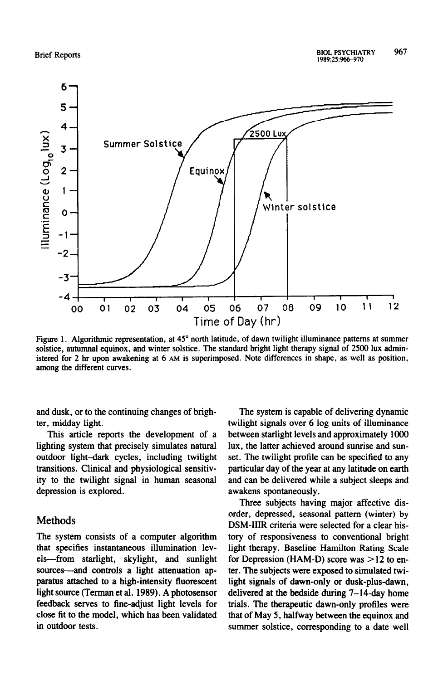

Figure 1. Algorithmic representation, at 45° north latitude, of dawn twilight illuminance patterns at summer solstice, autumnal equinox, and winter solstice. The standard bright light therapy signal of **2500 lux** administered for 2 hr upon awakening at 6 **AM** is superimposed. Note differences in shape, as well as position, among the different curves.

and dusk, or to the continuing changes of brighter, midday light.

This article reports the development of a lighting system that precisely simulates natural outdoor light-dark cycles, including twilight transitions. Clinical and physiological sensitivity to the twilight signal in human seasonal depression is explored.

#### Methods

The system consists of a computer algorithm that specifies instantaneous illumination levels-from starlight, skylight, and sunlight sources---and controls a light attenuation apparatus attached to a high-intensity fluorescent light source (Terman et al. 1989). A photosensor feedback serves to fine-adjust light levels for close fit to the model, which has been validated in outdoor tests.

The system is capable of delivering dynamic twilight signals over 6 log units of illuminance between starlight levels and approximately 1000 lux, the latter achieved around sunrise and sunset. The twilight profile can be specified to any particular day of the year at any latitude on earth and can be delivered while a subject sleeps and awakens spontaneously.

Three subjects having major affective disorder, depressed, seasonal pattern (winter) by DSM-IIIR criteria were selected for a clear history of responsiveness to conventional bright light therapy. Baseline Hamilton Rating Scale for Depression (HAM-D) score was  $>12$  to enter. The subjects were exposed to simulated twilight signals of dawn-only or dusk-plus-dawn, delivered at the bedside during 7-14-day home trials. The therapeutic dawn-only profiles were that of May 5, halfway between the equinox and summer solstice, corresponding to a date well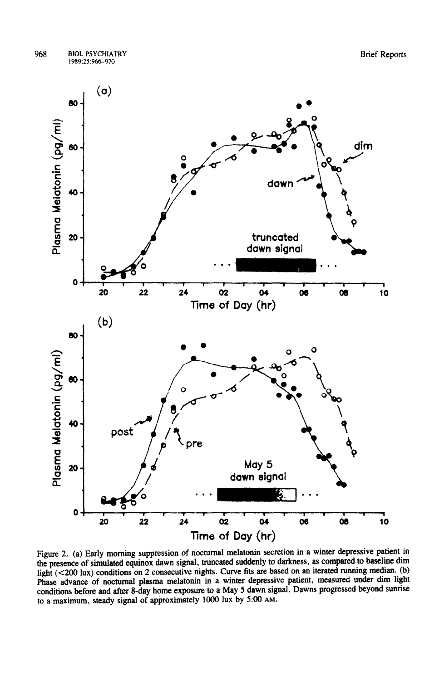

Figure 2. (a) Early morning suppression of nocturnal melatonin secretion in a winter depressive patient in the presence of simulated equinox dawn signal, truncated suddenly to darkness, as compared to baseline dim light (<200 lux) conditions on 2 consecutive nights. Curve fits are based on an iterated running median. (b) Phase advance of nocturnal plasma melatonin in a winter depressive patient, measured under dim light conditions before and after 8-day home exposure to a May 5 dawn signal. Dawns progressed beyond sunrise to a maximum, steady signal of approximately 1000 lux by 5:oO **AM.**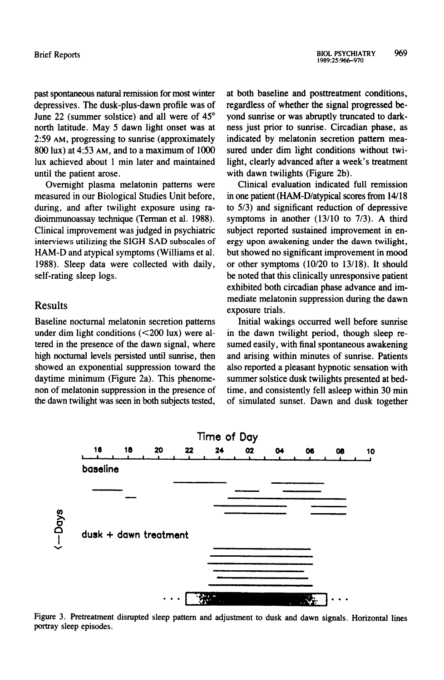past spontaneous natural remission for most winter depressives. The dusk-plus-dawn profile was of June 22 (summer solstice) and all were of 45° north latitude. May 5 dawn light onset was at 2:59 AM, progressing to sunrise (approximately 800 lux) at 4:53 AM, and to a maximum of 1000 lux achieved about 1 min later and maintained until the patient arose.

Overnight plasma melatonin patterns were measured in our Biological Studies Unit before, during, and after twilight exposure using radioimmunoassay technique (Terman et al. 1988). Clinical improvement was judged in psychiatric interviews utilizing the SIGH-SAD subscales of HAM-D and atypical symptoms (Williams et al. 1988). Sleep data were collected with daily, self-rating sleep logs.

#### Results

Baseline nocturnal melatonin secretion patterns under dim light conditions (<200 lux) were altered in the presence of the dawn signal, where high nocturnal levels persisted until sunrise, then showed an exponential suppression toward the daytime minimum (Figure 2a). This phenomenon of melatonin suppression in the presence of the dawn twilight was seen in both subjects tested, at both baseline and posttreatment conditions, regardless of whether the signal progressed beyond sunrise or was abruptly truncated to darkness just prior to sunrise. Circadian phase, as indicated by melatonin secretion pattern measured under dim light conditions without twilight, clearly advanced after a week's treatment with dawn twilights (Figure 2b).

Clinical evaluation indicated full remission in one patient (HAM-D/atypical scores from 14/18 to 5/3) and significant reduction of depressive symptoms in another (13/10 to 7/3). A third subject reported sustained improvement in energy upon awakening under the dawn twilight, but showed no significant improvement in mood or other symptoms  $(10/20 \text{ to } 13/18)$ . It should be noted that this clinically unresponsive patient exhibited both circadian phase advance and immediate melatonin suppression during the dawn exposure trials.

Initial wakings occurred well before sunrise in the dawn twilight period, though sleep resumed easily, with final spontaneous awakening and arising within minutes of sunrise. Patients also reported a pleasant hypnotic sensation with summer solstice dusk twilights presented at bedtime, and consistently fell asleep within 30 min of simulated sunset. Dawn and dusk together



Figure 3. Pretreatment disrupted sleep pattern and adjustment to dusk and dawn signals. Horizontal lines portray sleep episodes.